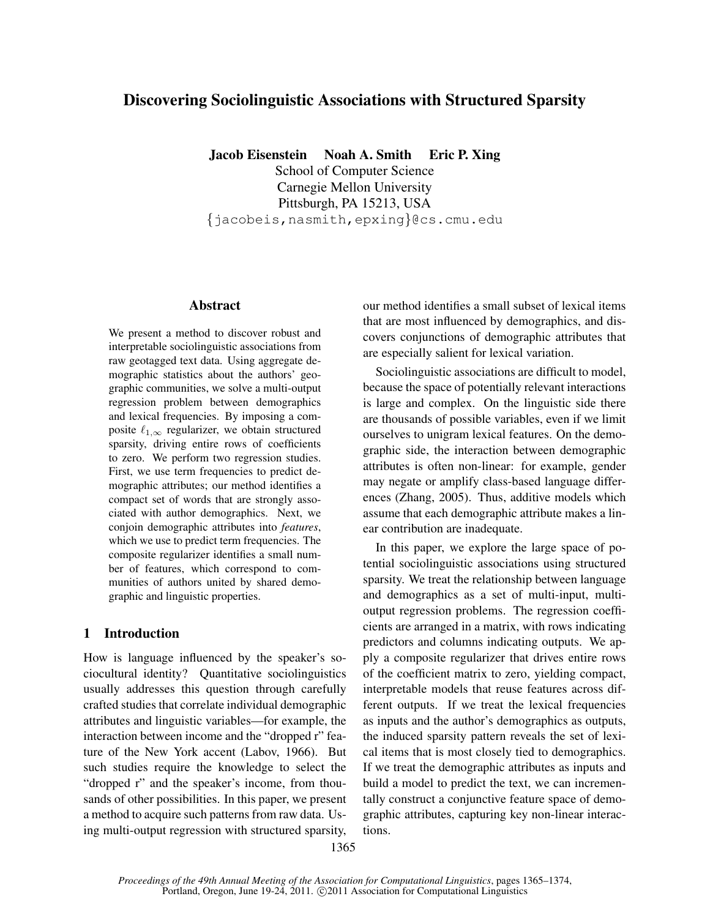# Discovering Sociolinguistic Associations with Structured Sparsity

Jacob Eisenstein Noah A. Smith Eric P. Xing School of Computer Science Carnegie Mellon University Pittsburgh, PA 15213, USA {jacobeis,nasmith,epxing}@cs.cmu.edu

## Abstract

We present a method to discover robust and interpretable sociolinguistic associations from raw geotagged text data. Using aggregate demographic statistics about the authors' geographic communities, we solve a multi-output regression problem between demographics and lexical frequencies. By imposing a composite  $\ell_{1,\infty}$  regularizer, we obtain structured sparsity, driving entire rows of coefficients to zero. We perform two regression studies. First, we use term frequencies to predict demographic attributes; our method identifies a compact set of words that are strongly associated with author demographics. Next, we conjoin demographic attributes into *features*, which we use to predict term frequencies. The composite regularizer identifies a small number of features, which correspond to communities of authors united by shared demographic and linguistic properties.

# 1 Introduction

How is language influenced by the speaker's sociocultural identity? Quantitative sociolinguistics usually addresses this question through carefully crafted studies that correlate individual demographic attributes and linguistic variables—for example, the interaction between income and the "dropped r" feature of the New York accent (Labov, 1966). But such studies require the knowledge to select the "dropped r" and the speaker's income, from thousands of other possibilities. In this paper, we present a method to acquire such patterns from raw data. Using multi-output regression with structured sparsity, our method identifies a small subset of lexical items that are most influenced by demographics, and discovers conjunctions of demographic attributes that are especially salient for lexical variation.

Sociolinguistic associations are difficult to model, because the space of potentially relevant interactions is large and complex. On the linguistic side there are thousands of possible variables, even if we limit ourselves to unigram lexical features. On the demographic side, the interaction between demographic attributes is often non-linear: for example, gender may negate or amplify class-based language differences (Zhang, 2005). Thus, additive models which assume that each demographic attribute makes a linear contribution are inadequate.

In this paper, we explore the large space of potential sociolinguistic associations using structured sparsity. We treat the relationship between language and demographics as a set of multi-input, multioutput regression problems. The regression coefficients are arranged in a matrix, with rows indicating predictors and columns indicating outputs. We apply a composite regularizer that drives entire rows of the coefficient matrix to zero, yielding compact, interpretable models that reuse features across different outputs. If we treat the lexical frequencies as inputs and the author's demographics as outputs, the induced sparsity pattern reveals the set of lexical items that is most closely tied to demographics. If we treat the demographic attributes as inputs and build a model to predict the text, we can incrementally construct a conjunctive feature space of demographic attributes, capturing key non-linear interactions.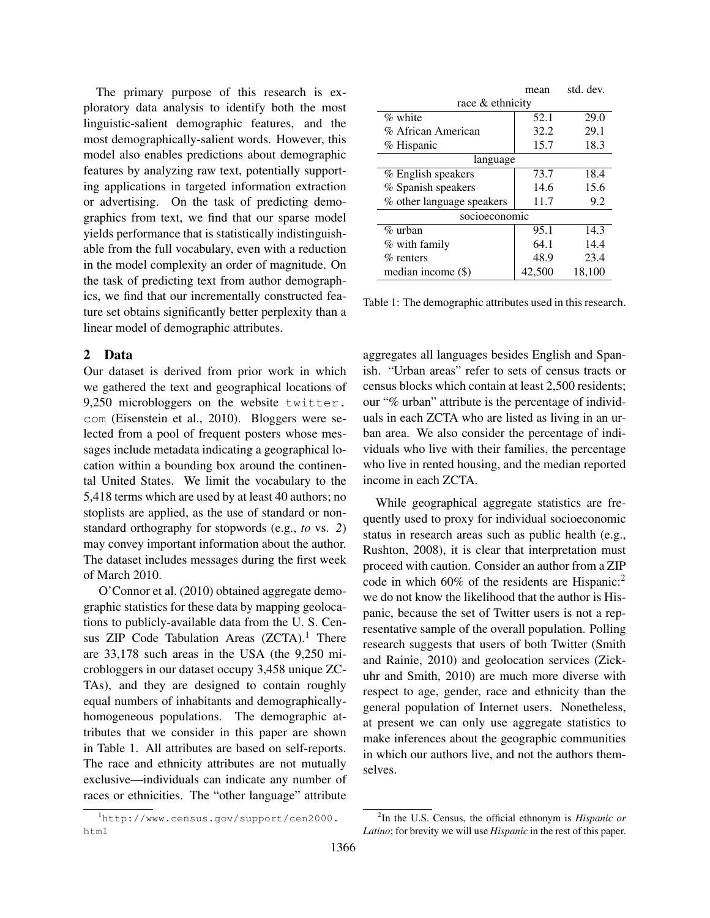The primary purpose of this research is exploratory data analysis to identify both the most linguistic-salient demographic features, and the most demographically-salient words. However, this model also enables predictions about demographic features by analyzing raw text, potentially supporting applications in targeted information extraction or advertising. On the task of predicting demographics from text, we find that our sparse model yields performance that is statistically indistinguishable from the full vocabulary, even with a reduction in the model complexity an order of magnitude. On the task of predicting text from author demographics, we find that our incrementally constructed feature set obtains significantly better perplexity than a linear model of demographic attributes.

# 2 Data

Our dataset is derived from prior work in which we gathered the text and geographical locations of 9,250 microbloggers on the website twitter. com (Eisenstein et al., 2010). Bloggers were selected from a pool of frequent posters whose messages include metadata indicating a geographical location within a bounding box around the continental United States. We limit the vocabulary to the 5,418 terms which are used by at least 40 authors; no stoplists are applied, as the use of standard or nonstandard orthography for stopwords (e.g., *to* vs. *2*) may convey important information about the author. The dataset includes messages during the first week of March 2010.

O'Connor et al. (2010) obtained aggregate demographic statistics for these data by mapping geolocations to publicly-available data from the U. S. Census ZIP Code Tabulation Areas  $(ZCTA)^1$ . There are 33,178 such areas in the USA (the 9,250 microbloggers in our dataset occupy 3,458 unique ZC-TAs), and they are designed to contain roughly equal numbers of inhabitants and demographicallyhomogeneous populations. The demographic attributes that we consider in this paper are shown in Table 1. All attributes are based on self-reports. The race and ethnicity attributes are not mutually exclusive—individuals can indicate any number of races or ethnicities. The "other language" attribute

|                           | mean          | std. dev. |  |  |  |  |  |  |
|---------------------------|---------------|-----------|--|--|--|--|--|--|
| race & ethnicity          |               |           |  |  |  |  |  |  |
| $\%$ white                | 52.1          | 29.0      |  |  |  |  |  |  |
| % African American        | 32.2          | 29.1      |  |  |  |  |  |  |
| % Hispanic                | 15.7          | 18.3      |  |  |  |  |  |  |
| language                  |               |           |  |  |  |  |  |  |
| % English speakers        | 73.7          | 18.4      |  |  |  |  |  |  |
| % Spanish speakers        | 14.6          | 15.6      |  |  |  |  |  |  |
| % other language speakers | 11.7          | 9.2       |  |  |  |  |  |  |
|                           | socioeconomic |           |  |  |  |  |  |  |
| $\%$ urban                | 95.1          | 14.3      |  |  |  |  |  |  |
| % with family             | 64.1          | 14.4      |  |  |  |  |  |  |
| $\%$ renters              | 48.9          | 23.4      |  |  |  |  |  |  |
| median income (\$)        | 42,500        | 18.100    |  |  |  |  |  |  |

Table 1: The demographic attributes used in this research.

aggregates all languages besides English and Spanish. "Urban areas" refer to sets of census tracts or census blocks which contain at least 2,500 residents; our "% urban" attribute is the percentage of individuals in each ZCTA who are listed as living in an urban area. We also consider the percentage of individuals who live with their families, the percentage who live in rented housing, and the median reported income in each ZCTA.

While geographical aggregate statistics are frequently used to proxy for individual socioeconomic status in research areas such as public health (e.g., Rushton, 2008), it is clear that interpretation must proceed with caution. Consider an author from a ZIP code in which  $60\%$  of the residents are Hispanic:<sup>2</sup> we do not know the likelihood that the author is Hispanic, because the set of Twitter users is not a representative sample of the overall population. Polling research suggests that users of both Twitter (Smith and Rainie, 2010) and geolocation services (Zickuhr and Smith, 2010) are much more diverse with respect to age, gender, race and ethnicity than the general population of Internet users. Nonetheless, at present we can only use aggregate statistics to make inferences about the geographic communities in which our authors live, and not the authors themselves.

<sup>1</sup>http://www.census.gov/support/cen2000. html

<sup>2</sup> In the U.S. Census, the official ethnonym is *Hispanic or Latino*; for brevity we will use *Hispanic* in the rest of this paper.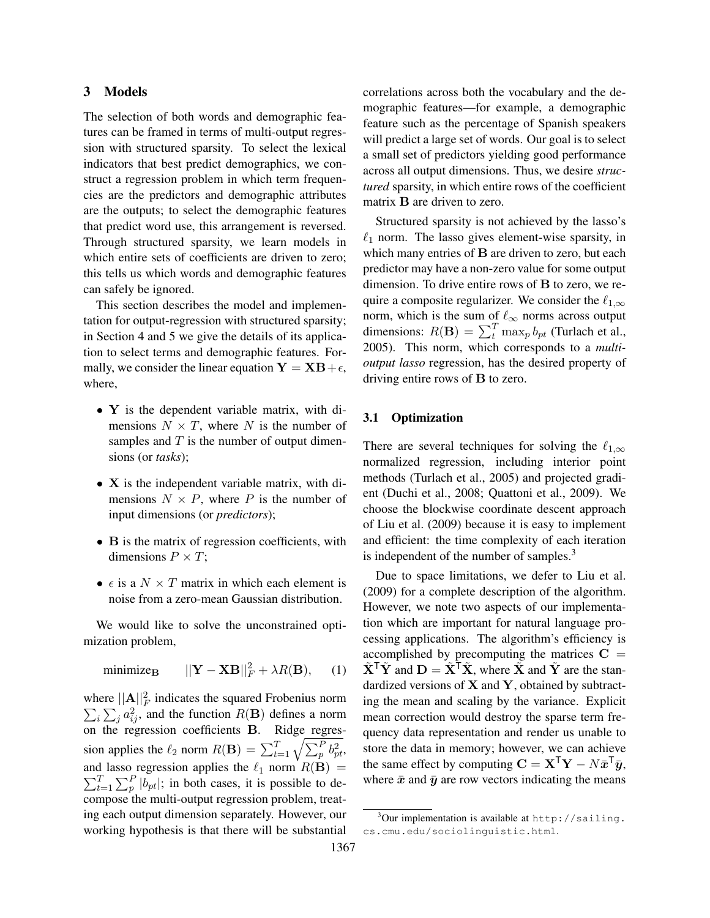## 3 Models

The selection of both words and demographic features can be framed in terms of multi-output regression with structured sparsity. To select the lexical indicators that best predict demographics, we construct a regression problem in which term frequencies are the predictors and demographic attributes are the outputs; to select the demographic features that predict word use, this arrangement is reversed. Through structured sparsity, we learn models in which entire sets of coefficients are driven to zero; this tells us which words and demographic features can safely be ignored.

This section describes the model and implementation for output-regression with structured sparsity; in Section 4 and 5 we give the details of its application to select terms and demographic features. Formally, we consider the linear equation  $Y = XB + \epsilon$ , where,

- Y is the dependent variable matrix, with dimensions  $N \times T$ , where N is the number of samples and  $T$  is the number of output dimensions (or *tasks*);
- X is the independent variable matrix, with dimensions  $N \times P$ , where P is the number of input dimensions (or *predictors*);
- B is the matrix of regression coefficients, with dimensions  $P \times T$ ;
- $\epsilon$  is a  $N \times T$  matrix in which each element is noise from a zero-mean Gaussian distribution.

We would like to solve the unconstrained optimization problem,

$$
\text{minimize}_{\mathbf{B}} \qquad ||\mathbf{Y} - \mathbf{X}\mathbf{B}||_F^2 + \lambda R(\mathbf{B}), \qquad (1)
$$

where  $||A||_F^2$  indicates the squared Frobenius norm  $\sum_i \sum_j a_{ij}^2$ , and the function  $R(\mathbf{B})$  defines a norm on the regression coefficients B. Ridge regression applies the  $\ell_2$  norm  $R(\mathbf{B}) = \sum_{t=1}^{T} \sqrt{\sum_{p=1}^{P} b_{pt}^2}$ , and lasso regression applies the  $\ell_1$  norm  $R(\mathbf{B}) =$  $\sum_{t}^{T}$  $_{t=1}^{T} \sum_{p}^{P} |b_{pt}|$ ; in both cases, it is possible to decompose the multi-output regression problem, treating each output dimension separately. However, our working hypothesis is that there will be substantial

correlations across both the vocabulary and the demographic features—for example, a demographic feature such as the percentage of Spanish speakers will predict a large set of words. Our goal is to select a small set of predictors yielding good performance across all output dimensions. Thus, we desire *structured* sparsity, in which entire rows of the coefficient matrix B are driven to zero.

Structured sparsity is not achieved by the lasso's  $\ell_1$  norm. The lasso gives element-wise sparsity, in which many entries of **B** are driven to zero, but each predictor may have a non-zero value for some output dimension. To drive entire rows of B to zero, we require a composite regularizer. We consider the  $\ell_{1,\infty}$ norm, which is the sum of  $\ell_{\infty}$  norms across output dimensions:  $R(\mathbf{B}) = \sum_{t}^{T} \max_{p} b_{pt}$  (Turlach et al., 2005). This norm, which corresponds to a *multioutput lasso* regression, has the desired property of driving entire rows of B to zero.

#### 3.1 Optimization

There are several techniques for solving the  $\ell_{1,\infty}$ normalized regression, including interior point methods (Turlach et al., 2005) and projected gradient (Duchi et al., 2008; Quattoni et al., 2009). We choose the blockwise coordinate descent approach of Liu et al. (2009) because it is easy to implement and efficient: the time complexity of each iteration is independent of the number of samples. $3$ 

Due to space limitations, we defer to Liu et al. (2009) for a complete description of the algorithm. However, we note two aspects of our implementation which are important for natural language processing applications. The algorithm's efficiency is accomplished by precomputing the matrices  $C =$  $\tilde{\mathbf{X}}^{\mathsf{T}}\tilde{\mathbf{Y}}$  and  $\mathbf{D} = \tilde{\mathbf{X}}^{\mathsf{T}}\tilde{\mathbf{X}}$ , where  $\tilde{\mathbf{X}}$  and  $\tilde{\mathbf{Y}}$  are the standardized versions of  $X$  and  $Y$ , obtained by subtracting the mean and scaling by the variance. Explicit mean correction would destroy the sparse term frequency data representation and render us unable to store the data in memory; however, we can achieve the same effect by computing  $\mathbf{C} = \mathbf{X}^{\mathsf{T}} \mathbf{Y} - N \bar{\mathbf{x}}^{\mathsf{T}} \bar{\mathbf{y}},$ where  $\bar{x}$  and  $\bar{y}$  are row vectors indicating the means

 $3$ Our implementation is available at http://sailing. cs.cmu.edu/sociolinguistic.html.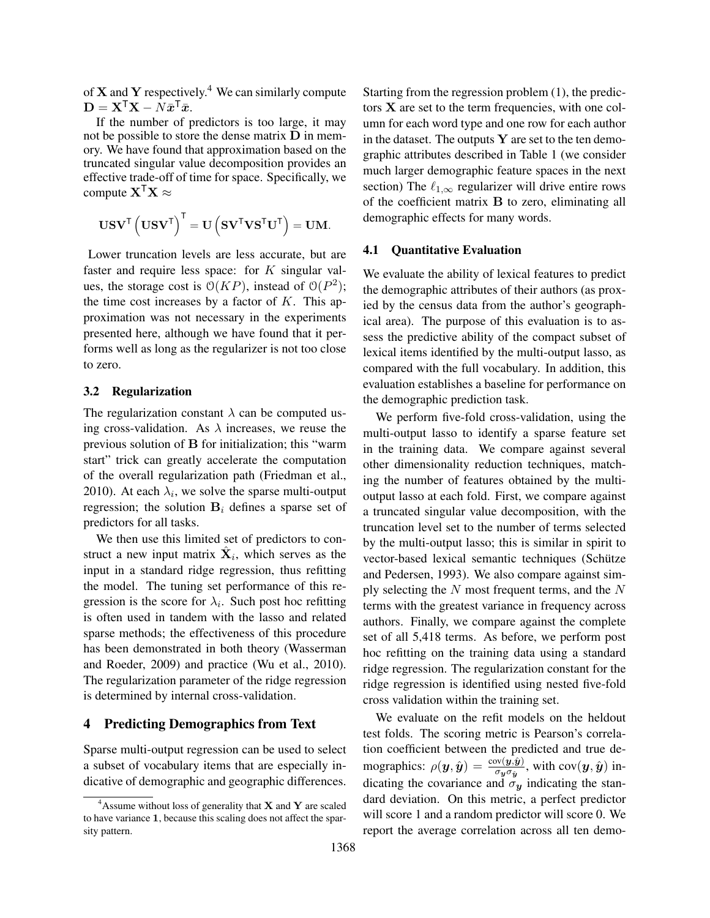of  $X$  and  $Y$  respectively.<sup>4</sup> We can similarly compute  $\mathbf{D} = \mathbf{X}^{\mathsf{T}} \mathbf{X} - N \bar{\boldsymbol{x}}^{\mathsf{T}} \bar{\boldsymbol{x}}.$ 

If the number of predictors is too large, it may not be possible to store the dense matrix  **in mem**ory. We have found that approximation based on the truncated singular value decomposition provides an effective trade-off of time for space. Specifically, we compute  $X^{\mathsf{T}}X \approx$ 

$$
\mathbf{U}\mathbf{S}\mathbf{V}^{\mathsf{T}}\left(\mathbf{U}\mathbf{S}\mathbf{V}^{\mathsf{T}}\right)^{\mathsf{T}}=\mathbf{U}\left(\mathbf{S}\mathbf{V}^{\mathsf{T}}\mathbf{V}\mathbf{S}^{\mathsf{T}}\mathbf{U}^{\mathsf{T}}\right)=\mathbf{U}\mathbf{M}.
$$

Lower truncation levels are less accurate, but are faster and require less space: for  $K$  singular values, the storage cost is  $O(KP)$ , instead of  $O(P^2)$ ; the time cost increases by a factor of  $K$ . This approximation was not necessary in the experiments presented here, although we have found that it performs well as long as the regularizer is not too close to zero.

#### 3.2 Regularization

The regularization constant  $\lambda$  can be computed using cross-validation. As  $\lambda$  increases, we reuse the previous solution of B for initialization; this "warm start" trick can greatly accelerate the computation of the overall regularization path (Friedman et al., 2010). At each  $\lambda_i$ , we solve the sparse multi-output regression; the solution  $B_i$  defines a sparse set of predictors for all tasks.

We then use this limited set of predictors to construct a new input matrix  $\hat{\mathbf{X}}_i$ , which serves as the input in a standard ridge regression, thus refitting the model. The tuning set performance of this regression is the score for  $\lambda_i$ . Such post hoc refitting is often used in tandem with the lasso and related sparse methods; the effectiveness of this procedure has been demonstrated in both theory (Wasserman and Roeder, 2009) and practice (Wu et al., 2010). The regularization parameter of the ridge regression is determined by internal cross-validation.

### 4 Predicting Demographics from Text

Sparse multi-output regression can be used to select a subset of vocabulary items that are especially indicative of demographic and geographic differences. Starting from the regression problem (1), the predictors X are set to the term frequencies, with one column for each word type and one row for each author in the dataset. The outputs  $Y$  are set to the ten demographic attributes described in Table 1 (we consider much larger demographic feature spaces in the next section) The  $\ell_{1,\infty}$  regularizer will drive entire rows of the coefficient matrix B to zero, eliminating all demographic effects for many words.

#### 4.1 Quantitative Evaluation

We evaluate the ability of lexical features to predict the demographic attributes of their authors (as proxied by the census data from the author's geographical area). The purpose of this evaluation is to assess the predictive ability of the compact subset of lexical items identified by the multi-output lasso, as compared with the full vocabulary. In addition, this evaluation establishes a baseline for performance on the demographic prediction task.

We perform five-fold cross-validation, using the multi-output lasso to identify a sparse feature set in the training data. We compare against several other dimensionality reduction techniques, matching the number of features obtained by the multioutput lasso at each fold. First, we compare against a truncated singular value decomposition, with the truncation level set to the number of terms selected by the multi-output lasso; this is similar in spirit to vector-based lexical semantic techniques (Schütze and Pedersen, 1993). We also compare against simply selecting the  $N$  most frequent terms, and the  $N$ terms with the greatest variance in frequency across authors. Finally, we compare against the complete set of all 5,418 terms. As before, we perform post hoc refitting on the training data using a standard ridge regression. The regularization constant for the ridge regression is identified using nested five-fold cross validation within the training set.

We evaluate on the refit models on the heldout test folds. The scoring metric is Pearson's correlation coefficient between the predicted and true demographics:  $\rho(\bm{y}, \hat{\bm{y}}) = \frac{\text{cov}(\bm{y}, \hat{\bm{y}})}{\sigma_{\bm{y}} \sigma_{\hat{\bm{y}}}}$ , with  $\text{cov}(\bm{y}, \hat{\bm{y}})$  indicating the covariance and  $\sigma_y$  indicating the standard deviation. On this metric, a perfect predictor will score 1 and a random predictor will score 0. We report the average correlation across all ten demo-

<sup>&</sup>lt;sup>4</sup>Assume without loss of generality that **X** and **Y** are scaled to have variance 1, because this scaling does not affect the sparsity pattern.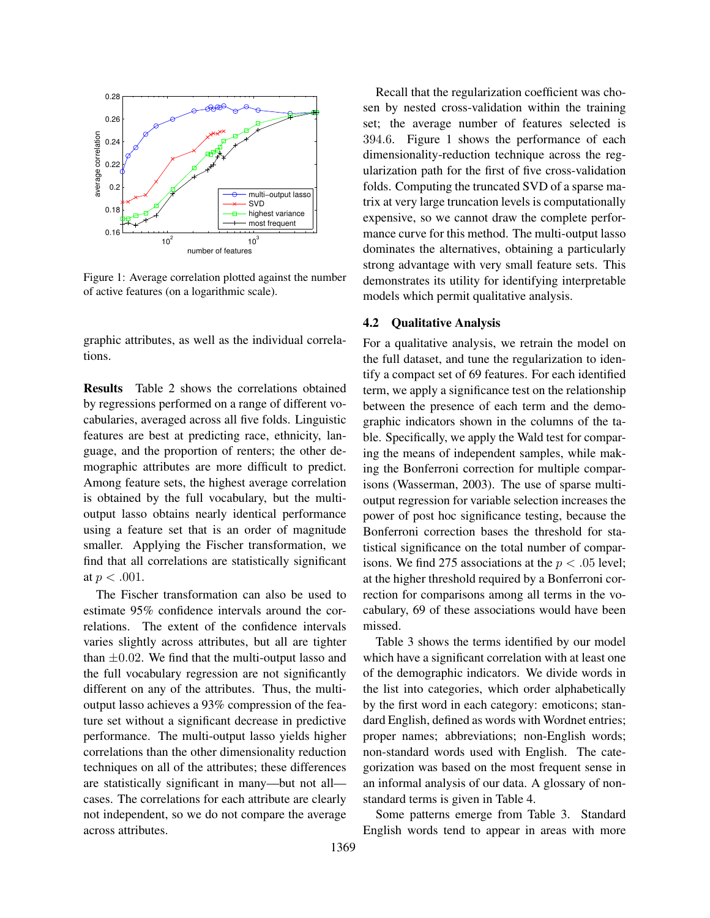

Figure 1: Average correlation plotted against the number of active features (on a logarithmic scale).

graphic attributes, as well as the individual correlations.

Results Table 2 shows the correlations obtained by regressions performed on a range of different vocabularies, averaged across all five folds. Linguistic features are best at predicting race, ethnicity, language, and the proportion of renters; the other demographic attributes are more difficult to predict. Among feature sets, the highest average correlation is obtained by the full vocabulary, but the multioutput lasso obtains nearly identical performance using a feature set that is an order of magnitude smaller. Applying the Fischer transformation, we find that all correlations are statistically significant at  $p < .001$ .

The Fischer transformation can also be used to estimate 95% confidence intervals around the correlations. The extent of the confidence intervals varies slightly across attributes, but all are tighter than  $\pm 0.02$ . We find that the multi-output lasso and the full vocabulary regression are not significantly different on any of the attributes. Thus, the multioutput lasso achieves a 93% compression of the feature set without a significant decrease in predictive performance. The multi-output lasso yields higher correlations than the other dimensionality reduction techniques on all of the attributes; these differences are statistically significant in many—but not all cases. The correlations for each attribute are clearly not independent, so we do not compare the average across attributes.

Recall that the regularization coefficient was chosen by nested cross-validation within the training set; the average number of features selected is 394.6. Figure 1 shows the performance of each dimensionality-reduction technique across the regularization path for the first of five cross-validation folds. Computing the truncated SVD of a sparse matrix at very large truncation levels is computationally expensive, so we cannot draw the complete performance curve for this method. The multi-output lasso dominates the alternatives, obtaining a particularly strong advantage with very small feature sets. This demonstrates its utility for identifying interpretable models which permit qualitative analysis.

#### 4.2 Qualitative Analysis

For a qualitative analysis, we retrain the model on the full dataset, and tune the regularization to identify a compact set of 69 features. For each identified term, we apply a significance test on the relationship between the presence of each term and the demographic indicators shown in the columns of the table. Specifically, we apply the Wald test for comparing the means of independent samples, while making the Bonferroni correction for multiple comparisons (Wasserman, 2003). The use of sparse multioutput regression for variable selection increases the power of post hoc significance testing, because the Bonferroni correction bases the threshold for statistical significance on the total number of comparisons. We find 275 associations at the  $p < .05$  level; at the higher threshold required by a Bonferroni correction for comparisons among all terms in the vocabulary, 69 of these associations would have been missed.

Table 3 shows the terms identified by our model which have a significant correlation with at least one of the demographic indicators. We divide words in the list into categories, which order alphabetically by the first word in each category: emoticons; standard English, defined as words with Wordnet entries; proper names; abbreviations; non-English words; non-standard words used with English. The categorization was based on the most frequent sense in an informal analysis of our data. A glossary of nonstandard terms is given in Table 4.

Some patterns emerge from Table 3. Standard English words tend to appear in areas with more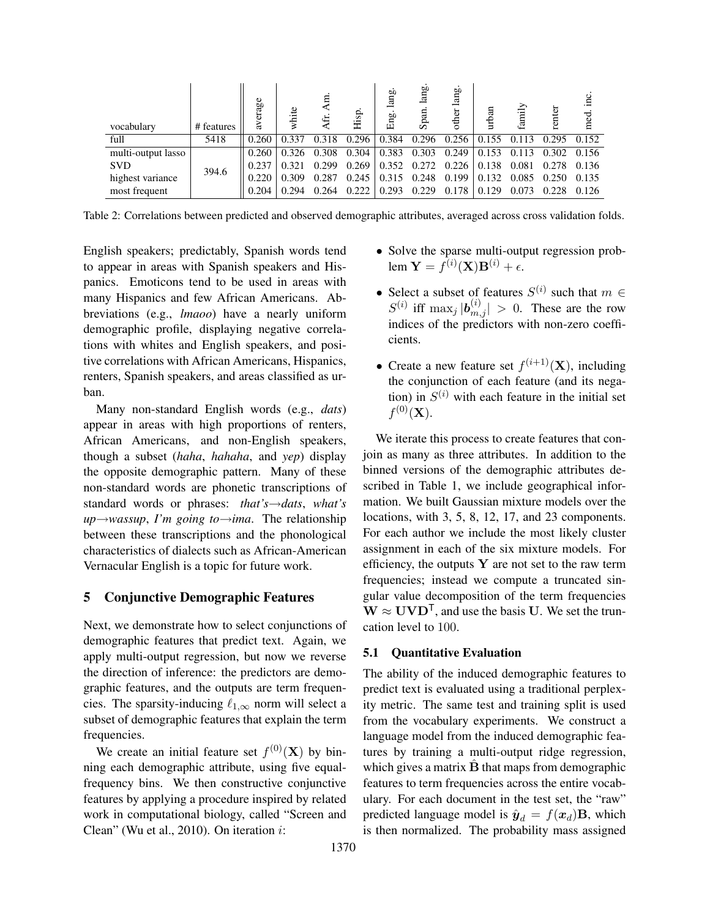| vocabulary         | # features | average | white | Æ     | Hisp. | lang.<br>Eng. | lang<br>Span | lang.<br>other | urban | family      | renter      | inc<br>med. |
|--------------------|------------|---------|-------|-------|-------|---------------|--------------|----------------|-------|-------------|-------------|-------------|
| full               | 5418       | 0.260   | 0.337 | 0.318 | 0.296 | 0.384         | 0.296        | 0.256          | 0.155 | 0.113       | 0.295       | 0.152       |
| multi-output lasso | 394.6      | 0.260   | 0.326 | 0.308 | 0.304 | 0.383         | 0.303        | 0.249          | 0.153 |             | 0.113 0.302 | 0.156       |
| <b>SVD</b>         |            | 0.237   | 0.321 | 0.299 | 0.269 | 0.352         | 0.272        | 0.226          | 0.138 | 0.081       | 0.278       | 0.136       |
| highest variance   |            | 0.220   | 0.309 | 0.287 | 0.245 | 0.315         | 0.248        | 0.199          | 0.132 | 0.085 0.250 |             | 0.135       |
| most frequent      |            | 0.204   | 0.294 | 0.264 | 0.222 | 0.293         | 0.229        | 0.178          | 0.129 | 0.073       | 0.228       | 0.126       |

Table 2: Correlations between predicted and observed demographic attributes, averaged across cross validation folds.

English speakers; predictably, Spanish words tend to appear in areas with Spanish speakers and Hispanics. Emoticons tend to be used in areas with many Hispanics and few African Americans. Abbreviations (e.g., *lmaoo*) have a nearly uniform demographic profile, displaying negative correlations with whites and English speakers, and positive correlations with African Americans, Hispanics, renters, Spanish speakers, and areas classified as urban.

Many non-standard English words (e.g., *dats*) appear in areas with high proportions of renters, African Americans, and non-English speakers, though a subset (*haha*, *hahaha*, and *yep*) display the opposite demographic pattern. Many of these non-standard words are phonetic transcriptions of standard words or phrases: *that's*→*dats*, *what's up*→*wassup*, *I'm going to*→*ima*. The relationship between these transcriptions and the phonological characteristics of dialects such as African-American Vernacular English is a topic for future work.

#### 5 Conjunctive Demographic Features

Next, we demonstrate how to select conjunctions of demographic features that predict text. Again, we apply multi-output regression, but now we reverse the direction of inference: the predictors are demographic features, and the outputs are term frequencies. The sparsity-inducing  $\ell_{1,\infty}$  norm will select a subset of demographic features that explain the term frequencies.

We create an initial feature set  $f^{(0)}(\mathbf{X})$  by binning each demographic attribute, using five equalfrequency bins. We then constructive conjunctive features by applying a procedure inspired by related work in computational biology, called "Screen and Clean" (Wu et al., 2010). On iteration i:

- Solve the sparse multi-output regression problem  $\mathbf{Y} = f^{(i)}(\mathbf{X})\mathbf{B}^{(i)} + \epsilon.$
- Select a subset of features  $S^{(i)}$  such that  $m \in$  $S^{(i)}$  iff  $\max_j |\boldsymbol{b}_{m,j}^{(i)}| > 0$ . These are the row indices of the predictors with non-zero coefficients.
- Create a new feature set  $f^{(i+1)}(\mathbf{X})$ , including the conjunction of each feature (and its negation) in  $S^{(i)}$  with each feature in the initial set  $f^{(0)}(\mathbf{X}).$

We iterate this process to create features that conjoin as many as three attributes. In addition to the binned versions of the demographic attributes described in Table 1, we include geographical information. We built Gaussian mixture models over the locations, with 3, 5, 8, 12, 17, and 23 components. For each author we include the most likely cluster assignment in each of the six mixture models. For efficiency, the outputs  $Y$  are not set to the raw term frequencies; instead we compute a truncated singular value decomposition of the term frequencies  $W \approx UVD^{T}$ , and use the basis U. We set the truncation level to 100.

#### 5.1 Quantitative Evaluation

The ability of the induced demographic features to predict text is evaluated using a traditional perplexity metric. The same test and training split is used from the vocabulary experiments. We construct a language model from the induced demographic features by training a multi-output ridge regression, which gives a matrix  $\bf{B}$  that maps from demographic features to term frequencies across the entire vocabulary. For each document in the test set, the "raw" predicted language model is  $\hat{\mathbf{y}}_d = f(\mathbf{x}_d) \mathbf{B}$ , which is then normalized. The probability mass assigned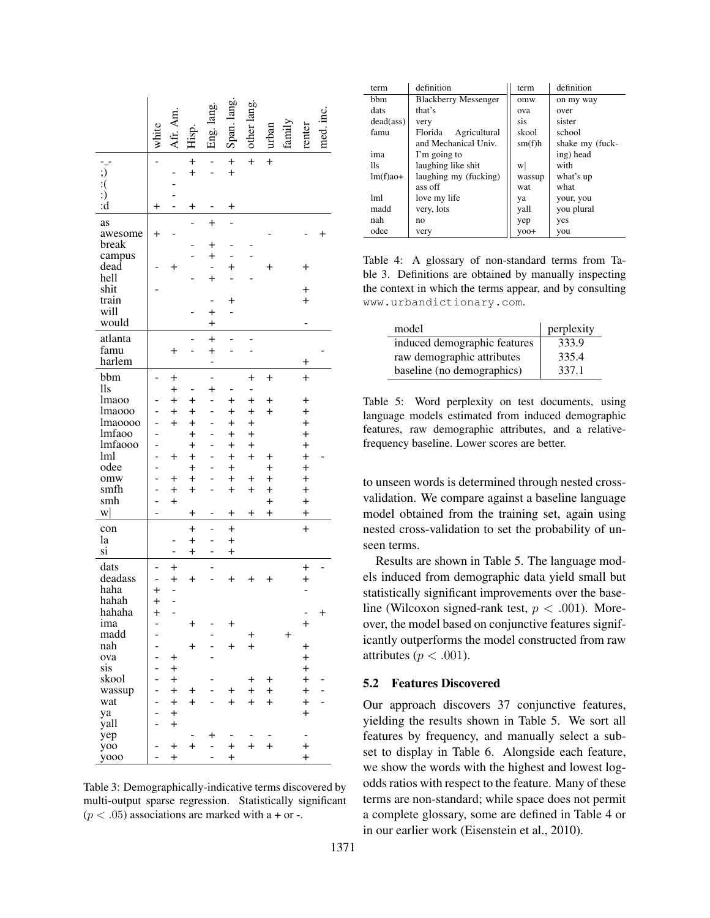|                     | white                    | Afr. Am.       | Hisp.                  | Eng. lang.               | Span. lang.            | other lang.     | urban                  | family         | renter                      | med. inc.       |
|---------------------|--------------------------|----------------|------------------------|--------------------------|------------------------|-----------------|------------------------|----------------|-----------------------------|-----------------|
| ; )                 |                          |                | $\ddot{}$<br>$\ddot{}$ |                          | $\ddot{}$<br>$\ddot{}$ | $\overline{+}$  | $\ddot{}$              |                |                             |                 |
|                     |                          |                |                        |                          |                        |                 |                        |                |                             |                 |
| $\ddot{.}(\dot{.})$ |                          |                |                        |                          |                        |                 |                        |                |                             |                 |
| $\dot{d}$           | $^+$                     |                | $\ddag$                |                          | $\,{}^+$               |                 |                        |                |                             |                 |
| as                  |                          |                |                        | $\ddot{}$                |                        |                 |                        |                |                             |                 |
| awesome             | $\overline{+}$           |                |                        |                          |                        |                 |                        |                |                             | $^{\mathrm{+}}$ |
| break               |                          |                |                        | $\overline{+}$           |                        |                 |                        |                |                             |                 |
| campus              |                          |                |                        | $\overline{+}$           |                        |                 |                        |                |                             |                 |
| dead                |                          | $\overline{+}$ |                        |                          | $\ddot{}$              |                 | $\ddot{}$              |                | $\ddot{}$                   |                 |
| hell                |                          |                |                        | $\overline{+}$           |                        |                 |                        |                |                             |                 |
| shit                |                          |                |                        |                          |                        |                 |                        |                | $\overline{+}$              |                 |
| train               |                          |                |                        |                          | $\overline{+}$         |                 |                        |                | $\overline{+}$              |                 |
| will                |                          |                |                        | $\ddot{}$                |                        |                 |                        |                |                             |                 |
| would               |                          |                |                        | $\ddot{}$                |                        |                 |                        |                |                             |                 |
| atlanta             |                          |                |                        | $\ddot{}$                | L                      | -               |                        |                |                             |                 |
| famu                |                          | $^{+}$         |                        | $\ddot{}$                |                        |                 |                        |                |                             |                 |
| harlem              |                          |                |                        |                          |                        |                 |                        |                | $\,{}^+$                    |                 |
| bbm                 |                          | $\ddot{}$      |                        | -                        |                        | $\ddot{}$       | $\ddot{}$              |                | $\ddot{}$                   |                 |
| 11s                 |                          | $\ddot{}$      |                        | $\ddot{}$                |                        |                 |                        |                |                             |                 |
| lmaoo               |                          | $\overline{+}$ | $\ddot{}$              |                          | $\overline{+}$         | $\ddot{}$       | $\ddot{}$              |                | $\overline{+}$              |                 |
| lmaooo              |                          | $\ddot{}$      | $\ddot{}$              |                          | $\ddot{}$              | $\ddot{}$       | $\ddot{}$              |                | $\overline{+}$              |                 |
| <i>Imaoooo</i>      | $\overline{\phantom{a}}$ | $^{+}$         | $\ddot{}$              |                          | $\ddot{}$              | $\ddot{}$       |                        |                | $\overline{+}$              |                 |
| lmfaoo              |                          |                | $^{+}$                 |                          | $\ddot{}$              | $\ddot{}$       |                        |                | $\ddot{}$                   |                 |
| <i>Imfaooo</i>      | -                        |                | $\ddot{}$              |                          | $\overline{+}$         | $\ddot{}$       |                        |                | $\ddot{}$                   |                 |
| lml                 |                          | $\overline{+}$ | $^{+}$                 |                          | $\overline{+}$         | $\ddot{}$       | $\,{}^+$               |                | $\overline{+}$              |                 |
| odee                |                          |                | $+$                    |                          | $\ddot{}$              |                 | $^{+}$                 |                | $\ddot{}$                   |                 |
| omw                 | $\overline{a}$           | $\,^+$         | $^{+}$                 |                          | $\overline{+}$         | $\pm$           | $\ddot{}$              |                | $\overline{+}$              |                 |
| smfh                | $\overline{a}$           | $\overline{+}$ | $^{+}$                 |                          | $\ddot{}$              | $\ddot{}$       | $\ddot{}$<br>$\ddot{}$ |                | $\ddot{}$<br>$\overline{+}$ |                 |
| smh<br>w            |                          | $\,^+$         |                        |                          |                        |                 | $\ddot{}$              |                | $\overline{+}$              |                 |
|                     |                          |                | $\,{}^+$               | $\overline{a}$           | $\pm$                  | $^{+}$          |                        |                |                             |                 |
| con                 |                          |                | $^{+}$                 |                          | $^{+}$                 |                 |                        |                | $\ddot{}$                   |                 |
| la                  |                          |                | $^{+}$                 |                          | $^{+}$                 |                 |                        |                |                             |                 |
| si                  |                          | -              | $^{+}$                 |                          | $\ddot{}$              |                 |                        |                |                             |                 |
| dats                |                          | $\ddot{}$      |                        |                          |                        |                 |                        |                | $\overline{+}$              |                 |
| deadass             |                          | $\ddot{}$      | $\ddot{}$              |                          | $\,{}^+$               | $^{\mathrm{+}}$ | $\,{}^+$               |                | $\ddot{}$                   |                 |
| haha                | $\ddot{}$                |                |                        |                          |                        |                 |                        |                |                             |                 |
| hahah               | $\ddot{}$                |                |                        |                          |                        |                 |                        |                |                             |                 |
| hahaha              | $^{+}$                   |                |                        |                          |                        |                 |                        |                | ۳                           | +               |
| ima                 |                          |                | $\ddot{}$              |                          | $\,{}^+$               |                 |                        |                | $\ddot{}$                   |                 |
| madd                | $\overline{a}$           |                |                        | $\overline{a}$           |                        | $\pm$           |                        | $\overline{+}$ |                             |                 |
| nah<br>ova          | -<br>$\overline{a}$      | $\pm$          | $\ddot{}$              |                          | $\ddot{}$              | $+$             |                        |                | $\ddot{}$<br>$+$            |                 |
| sis                 | -                        | $+$            |                        |                          |                        |                 |                        |                | $\ddot{}$                   |                 |
| skool               | $\overline{a}$           | $+$            |                        |                          |                        | $\pm$           | $\ddot{}$              |                | $+$                         |                 |
| wassup              | -                        | $\ddot{}$      | $\ddot{}$              | $\overline{\phantom{0}}$ | $\ddot{}$              | $\ddot{}$       | $\ddot{}$              |                | $+$                         |                 |
| wat                 | $\overline{a}$           | $+$            | $\ddot{}$              |                          | $+$                    | $+$             | $+$                    |                | $\ddot{}$                   | L,              |
| ya                  | $\overline{a}$           | $+$            |                        |                          |                        |                 |                        |                | $\ddot{}$                   |                 |
| yall                |                          | $\ddot{}$      |                        |                          |                        |                 |                        |                |                             |                 |
| yep                 |                          |                |                        | $\pm$                    | -                      |                 |                        |                |                             |                 |
| yoo                 | -                        | $\ddot{}$      | $+$                    | ÷,                       | $\ddot{}$              | $+$             | $+$                    |                | $+$                         |                 |
| y000                |                          | $\ddot{}$      |                        | L.                       | $\ddot{}$              |                 |                        |                | $+$                         |                 |

Table 3: Demographically-indicative terms discovered by multi-output sparse regression. Statistically significant  $(p < .05)$  associations are marked with a + or -.

| term               | definition                  | term   | definition      |
|--------------------|-----------------------------|--------|-----------------|
| <b>b</b> bm        | <b>Blackberry Messenger</b> | omw    | on my way       |
| dats               | that's                      | ova    | over            |
| $dead(\text{ass})$ | very                        | sis    | sister          |
| famu               | Agricultural<br>Florida     | skool  | school          |
|                    | and Mechanical Univ.        | sm(f)h | shake my (fuck- |
| ima                | I'm going to                |        | ing) head       |
| 11s                | laughing like shit          | w      | with            |
| $lm(f)$ ao+        | laughing my (fucking)       | wassup | what's up       |
|                    | ass off                     | wat    | what            |
| lml                | love my life                | ya     | your, you       |
| madd               | very, lots                  | vall   | you plural      |
| nah                | no                          | yep    | yes             |
| odee               | very                        | $yoo+$ | you             |

Table 4: A glossary of non-standard terms from Table 3. Definitions are obtained by manually inspecting the context in which the terms appear, and by consulting www.urbandictionary.com.

| model                        | perplexity |
|------------------------------|------------|
| induced demographic features | 333.9      |
| raw demographic attributes   | 335.4      |
| baseline (no demographics)   | 337.1      |

Table 5: Word perplexity on test documents, using language models estimated from induced demographic features, raw demographic attributes, and a relativefrequency baseline. Lower scores are better.

to unseen words is determined through nested crossvalidation. We compare against a baseline language model obtained from the training set, again using nested cross-validation to set the probability of unseen terms.

Results are shown in Table 5. The language models induced from demographic data yield small but statistically significant improvements over the baseline (Wilcoxon signed-rank test,  $p < .001$ ). Moreover, the model based on conjunctive features significantly outperforms the model constructed from raw attributes ( $p < .001$ ).

## 5.2 Features Discovered

Our approach discovers 37 conjunctive features, yielding the results shown in Table 5. We sort all features by frequency, and manually select a subset to display in Table 6. Alongside each feature, we show the words with the highest and lowest logodds ratios with respect to the feature. Many of these terms are non-standard; while space does not permit a complete glossary, some are defined in Table 4 or in our earlier work (Eisenstein et al., 2010).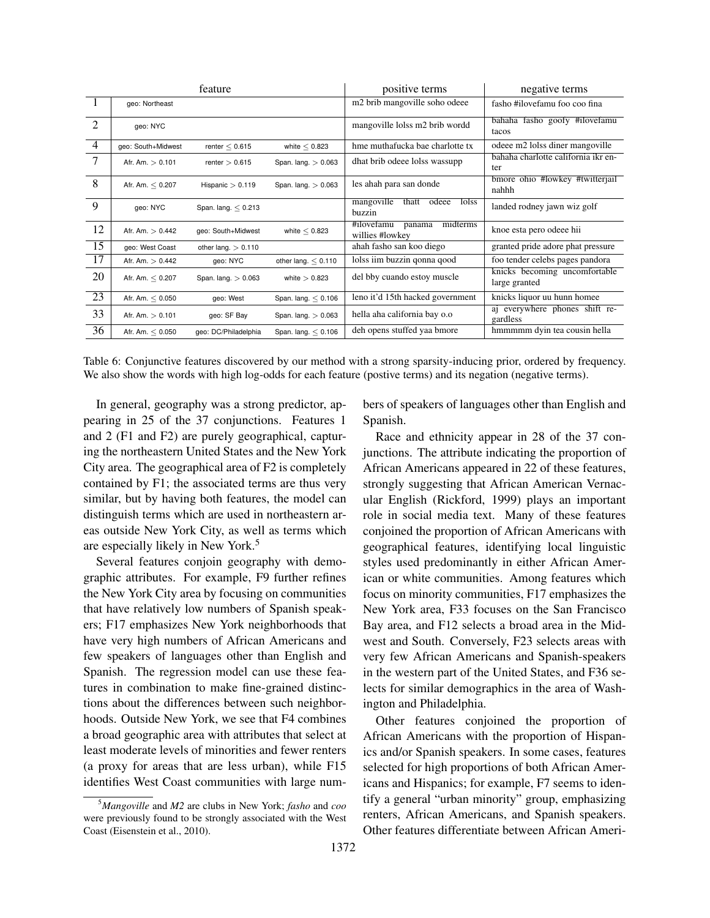|                |                       | feature               |                       | positive terms                                      | negative terms                                 |
|----------------|-----------------------|-----------------------|-----------------------|-----------------------------------------------------|------------------------------------------------|
| $\overline{1}$ | geo: Northeast        |                       |                       | m <sub>2</sub> brib mangoville soho odeee           | fasho #ilovefamu foo coo fina                  |
| 2              | geo: NYC              |                       |                       | mangoville lolss m2 brib wordd                      | bahaha fasho goofy #ilovefamu<br>tacos         |
| $\overline{4}$ | geo: South+Midwest    | renter $< 0.615$      | white $< 0.823$       | hme muthafucka bae charlotte tx                     | odeee m2 lolss diner mangoville                |
| 7              | Afr. Am. $> 0.101$    | renter $> 0.615$      | Span. lang. $> 0.063$ | dhat brib odeee lolss wassupp                       | bahaha charlotte california ikr en-<br>ter     |
| 8              | Afr. Am. $< 0.207$    | Hispanic $> 0.119$    | Span. lang. $> 0.063$ | les ahah para san donde                             | bmore ohio #lowkey #twitterjail<br>nahhh       |
| 9              | geo: NYC              | Span. lang. $< 0.213$ |                       | mangoville<br>thatt<br>odeee<br>lolss<br>buzzin     | landed rodney jawn wiz golf                    |
| 12             | Afr. Am. $> 0.442$    | geo: South+Midwest    | white $< 0.823$       | midterms<br>#ilovefamu<br>panama<br>willies #lowkey | knoe esta pero odeee hii                       |
| 15             | geo: West Coast       | other lang. $> 0.110$ |                       | ahah fasho san koo diego                            | granted pride adore phat pressure              |
| 17             | Afr. Am. $> 0.442$    | geo: NYC              | other lang. $< 0.110$ | lolss iim buzzin qonna qood                         | foo tender celebs pages pandora                |
| 20             | Afr. Am. $\leq 0.207$ | Span. lang. $> 0.063$ | white $> 0.823$       | del bby cuando estoy muscle                         | knicks becoming uncomfortable<br>large granted |
| 23             | Afr. Am. $< 0.050$    | geo: West             | Span. lang. $< 0.106$ | leno it'd 15th hacked government                    | knicks liquor uu hunn homee                    |
| 33             | Afr. Am. $> 0.101$    | geo: SF Bay           | Span. lang. $> 0.063$ | hella aha california bay o.o                        | aj everywhere phones shift re-<br>gardless     |
| 36             | Afr. Am. $< 0.050$    | geo: DC/Philadelphia  | Span. lang. $< 0.106$ | deh opens stuffed yaa bmore                         | hmmmmm dyin tea cousin hella                   |

Table 6: Conjunctive features discovered by our method with a strong sparsity-inducing prior, ordered by frequency. We also show the words with high log-odds for each feature (postive terms) and its negation (negative terms).

In general, geography was a strong predictor, appearing in 25 of the 37 conjunctions. Features 1 and 2 (F1 and F2) are purely geographical, capturing the northeastern United States and the New York City area. The geographical area of F2 is completely contained by F1; the associated terms are thus very similar, but by having both features, the model can distinguish terms which are used in northeastern areas outside New York City, as well as terms which are especially likely in New York.<sup>5</sup>

Several features conjoin geography with demographic attributes. For example, F9 further refines the New York City area by focusing on communities that have relatively low numbers of Spanish speakers; F17 emphasizes New York neighborhoods that have very high numbers of African Americans and few speakers of languages other than English and Spanish. The regression model can use these features in combination to make fine-grained distinctions about the differences between such neighborhoods. Outside New York, we see that F4 combines a broad geographic area with attributes that select at least moderate levels of minorities and fewer renters (a proxy for areas that are less urban), while F15 identifies West Coast communities with large numbers of speakers of languages other than English and Spanish.

Race and ethnicity appear in 28 of the 37 conjunctions. The attribute indicating the proportion of African Americans appeared in 22 of these features, strongly suggesting that African American Vernacular English (Rickford, 1999) plays an important role in social media text. Many of these features conjoined the proportion of African Americans with geographical features, identifying local linguistic styles used predominantly in either African American or white communities. Among features which focus on minority communities, F17 emphasizes the New York area, F33 focuses on the San Francisco Bay area, and F12 selects a broad area in the Midwest and South. Conversely, F23 selects areas with very few African Americans and Spanish-speakers in the western part of the United States, and F36 selects for similar demographics in the area of Washington and Philadelphia.

Other features conjoined the proportion of African Americans with the proportion of Hispanics and/or Spanish speakers. In some cases, features selected for high proportions of both African Americans and Hispanics; for example, F7 seems to identify a general "urban minority" group, emphasizing renters, African Americans, and Spanish speakers. Other features differentiate between African Ameri-

<sup>5</sup>*Mangoville* and *M2* are clubs in New York; *fasho* and *coo* were previously found to be strongly associated with the West Coast (Eisenstein et al., 2010).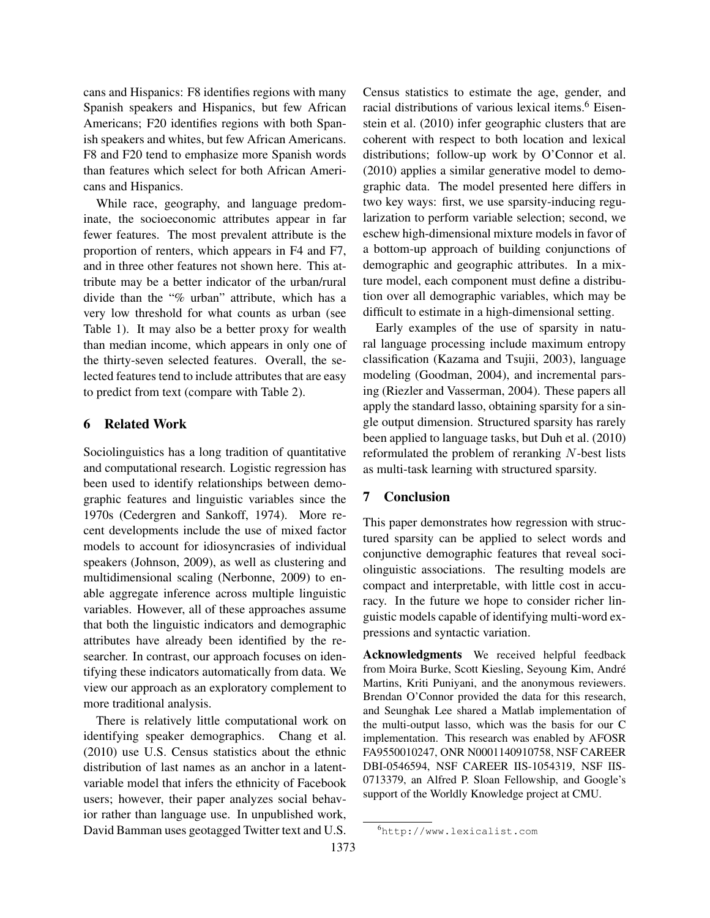cans and Hispanics: F8 identifies regions with many Spanish speakers and Hispanics, but few African Americans; F20 identifies regions with both Spanish speakers and whites, but few African Americans. F8 and F20 tend to emphasize more Spanish words than features which select for both African Americans and Hispanics.

While race, geography, and language predominate, the socioeconomic attributes appear in far fewer features. The most prevalent attribute is the proportion of renters, which appears in F4 and F7, and in three other features not shown here. This attribute may be a better indicator of the urban/rural divide than the "% urban" attribute, which has a very low threshold for what counts as urban (see Table 1). It may also be a better proxy for wealth than median income, which appears in only one of the thirty-seven selected features. Overall, the selected features tend to include attributes that are easy to predict from text (compare with Table 2).

# 6 Related Work

Sociolinguistics has a long tradition of quantitative and computational research. Logistic regression has been used to identify relationships between demographic features and linguistic variables since the 1970s (Cedergren and Sankoff, 1974). More recent developments include the use of mixed factor models to account for idiosyncrasies of individual speakers (Johnson, 2009), as well as clustering and multidimensional scaling (Nerbonne, 2009) to enable aggregate inference across multiple linguistic variables. However, all of these approaches assume that both the linguistic indicators and demographic attributes have already been identified by the researcher. In contrast, our approach focuses on identifying these indicators automatically from data. We view our approach as an exploratory complement to more traditional analysis.

There is relatively little computational work on identifying speaker demographics. Chang et al. (2010) use U.S. Census statistics about the ethnic distribution of last names as an anchor in a latentvariable model that infers the ethnicity of Facebook users; however, their paper analyzes social behavior rather than language use. In unpublished work, David Bamman uses geotagged Twitter text and U.S.

Census statistics to estimate the age, gender, and racial distributions of various lexical items.<sup>6</sup> Eisenstein et al. (2010) infer geographic clusters that are coherent with respect to both location and lexical distributions; follow-up work by O'Connor et al. (2010) applies a similar generative model to demographic data. The model presented here differs in two key ways: first, we use sparsity-inducing regularization to perform variable selection; second, we eschew high-dimensional mixture models in favor of a bottom-up approach of building conjunctions of demographic and geographic attributes. In a mixture model, each component must define a distribution over all demographic variables, which may be difficult to estimate in a high-dimensional setting.

Early examples of the use of sparsity in natural language processing include maximum entropy classification (Kazama and Tsujii, 2003), language modeling (Goodman, 2004), and incremental parsing (Riezler and Vasserman, 2004). These papers all apply the standard lasso, obtaining sparsity for a single output dimension. Structured sparsity has rarely been applied to language tasks, but Duh et al. (2010) reformulated the problem of reranking N-best lists as multi-task learning with structured sparsity.

# 7 Conclusion

This paper demonstrates how regression with structured sparsity can be applied to select words and conjunctive demographic features that reveal sociolinguistic associations. The resulting models are compact and interpretable, with little cost in accuracy. In the future we hope to consider richer linguistic models capable of identifying multi-word expressions and syntactic variation.

Acknowledgments We received helpful feedback from Moira Burke, Scott Kiesling, Seyoung Kim, Andre´ Martins, Kriti Puniyani, and the anonymous reviewers. Brendan O'Connor provided the data for this research, and Seunghak Lee shared a Matlab implementation of the multi-output lasso, which was the basis for our C implementation. This research was enabled by AFOSR FA9550010247, ONR N0001140910758, NSF CAREER DBI-0546594, NSF CAREER IIS-1054319, NSF IIS-0713379, an Alfred P. Sloan Fellowship, and Google's support of the Worldly Knowledge project at CMU.

<sup>6</sup>http://www.lexicalist.com